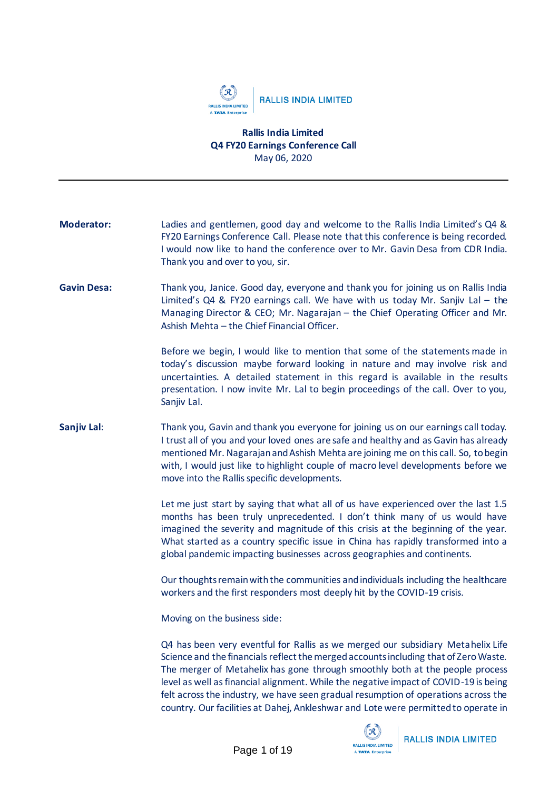

## **Rallis India Limited Q4 FY20 Earnings Conference Call** May 06, 2020

| <b>Moderator:</b>  | Ladies and gentlemen, good day and welcome to the Rallis India Limited's Q4 &<br>FY20 Earnings Conference Call. Please note that this conference is being recorded.<br>I would now like to hand the conference over to Mr. Gavin Desa from CDR India.<br>Thank you and over to you, sir.                                                                                                                          |
|--------------------|-------------------------------------------------------------------------------------------------------------------------------------------------------------------------------------------------------------------------------------------------------------------------------------------------------------------------------------------------------------------------------------------------------------------|
| <b>Gavin Desa:</b> | Thank you, Janice. Good day, everyone and thank you for joining us on Rallis India<br>Limited's $QA & FY20$ earnings call. We have with us today Mr. Sanjiv Lal - the<br>Managing Director & CEO; Mr. Nagarajan - the Chief Operating Officer and Mr.<br>Ashish Mehta - the Chief Financial Officer.                                                                                                              |
|                    | Before we begin, I would like to mention that some of the statements made in<br>today's discussion maybe forward looking in nature and may involve risk and<br>uncertainties. A detailed statement in this regard is available in the results<br>presentation. I now invite Mr. Lal to begin proceedings of the call. Over to you,<br>Sanjiv Lal.                                                                 |
| Sanjiv Lal:        | Thank you, Gavin and thank you everyone for joining us on our earnings call today.<br>I trust all of you and your loved ones are safe and healthy and as Gavin has already<br>mentioned Mr. Nagarajan and Ashish Mehta are joining me on this call. So, to begin<br>with, I would just like to highlight couple of macro level developments before we<br>move into the Rallis specific developments.              |
|                    | Let me just start by saying that what all of us have experienced over the last 1.5<br>months has been truly unprecedented. I don't think many of us would have<br>imagined the severity and magnitude of this crisis at the beginning of the year.<br>What started as a country specific issue in China has rapidly transformed into a<br>global pandemic impacting businesses across geographies and continents. |
|                    | Our thoughts remain with the communities and individuals including the healthcare<br>workers and the first responders most deeply hit by the COVID-19 crisis.                                                                                                                                                                                                                                                     |
|                    | Moving on the business side:                                                                                                                                                                                                                                                                                                                                                                                      |
|                    | Q4 has been very eventful for Rallis as we merged our subsidiary Metahelix Life<br>Science and the financials reflect the merged accounts including that of Zero Waste.<br>The merger of Metabelix has gone through smoothly both at the neegh process                                                                                                                                                            |

The merger of Metahelix has gone through smoothly both at the people process level as well as financial alignment. While the negative impact of COVID-19 is being felt across the industry, we have seen gradual resumption of operations across the country. Our facilities at Dahej, Ankleshwar and Lote were permitted to operate in



**RALLIS INDIA LIMITED**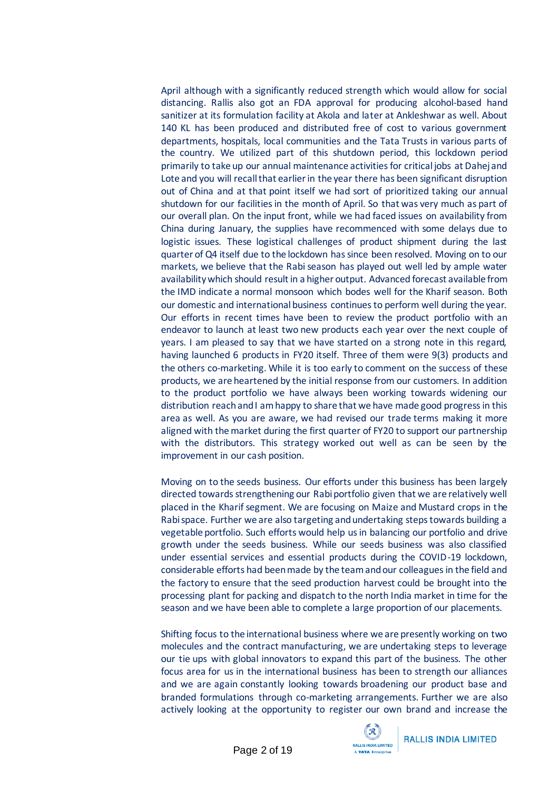April although with a significantly reduced strength which would allow for social distancing. Rallis also got an FDA approval for producing alcohol-based hand sanitizer at its formulation facility at Akola and later at Ankleshwar as well. About 140 KL has been produced and distributed free of cost to various government departments, hospitals, local communities and the Tata Trusts in various parts of the country. We utilized part of this shutdown period, this lockdown period primarily to take up our annual maintenance activities for critical jobs at Dahej and Lote and you will recall that earlier in the year there has been significant disruption out of China and at that point itself we had sort of prioritized taking our annual shutdown for our facilities in the month of April. So that was very much as part of our overall plan. On the input front, while we had faced issues on availability from China during January, the supplies have recommenced with some delays due to logistic issues. These logistical challenges of product shipment during the last quarter of Q4 itself due to the lockdown has since been resolved. Moving on to our markets, we believe that the Rabi season has played out well led by ample water availability which should result in a higher output. Advanced forecast available from the IMD indicate a normal monsoon which bodes well for the Kharif season. Both our domestic and international business continues to perform well during the year. Our efforts in recent times have been to review the product portfolio with an endeavor to launch at least two new products each year over the next couple of years. I am pleased to say that we have started on a strong note in this regard, having launched 6 products in FY20 itself. Three of them were 9(3) products and the others co-marketing. While it is too early to comment on the success of these products, we are heartened by the initial response from our customers. In addition to the product portfolio we have always been working towards widening our distribution reach and I am happy to share that we have made good progress in this area as well. As you are aware, we had revised our trade terms making it more aligned with the market during the first quarter of FY20 to support our partnership with the distributors. This strategy worked out well as can be seen by the improvement in our cash position.

Moving on to the seeds business. Our efforts under this business has been largely directed towards strengthening our Rabi portfolio given that we are relatively well placed in the Kharif segment. We are focusing on Maize and Mustard crops in the Rabi space. Further we are also targeting and undertaking steps towards building a vegetable portfolio. Such efforts would help us in balancing our portfolio and drive growth under the seeds business. While our seeds business was also classified under essential services and essential products during the COVID-19 lockdown, considerable efforts had been made by the team and our colleagues in the field and the factory to ensure that the seed production harvest could be brought into the processing plant for packing and dispatch to the north India market in time for the season and we have been able to complete a large proportion of our placements.

Shifting focus to the international business where we are presently working on two molecules and the contract manufacturing, we are undertaking steps to leverage our tie ups with global innovators to expand this part of the business. The other focus area for us in the international business has been to strength our alliances and we are again constantly looking towards broadening our product base and branded formulations through co-marketing arrangements. Further we are also actively looking at the opportunity to register our own brand and increase the

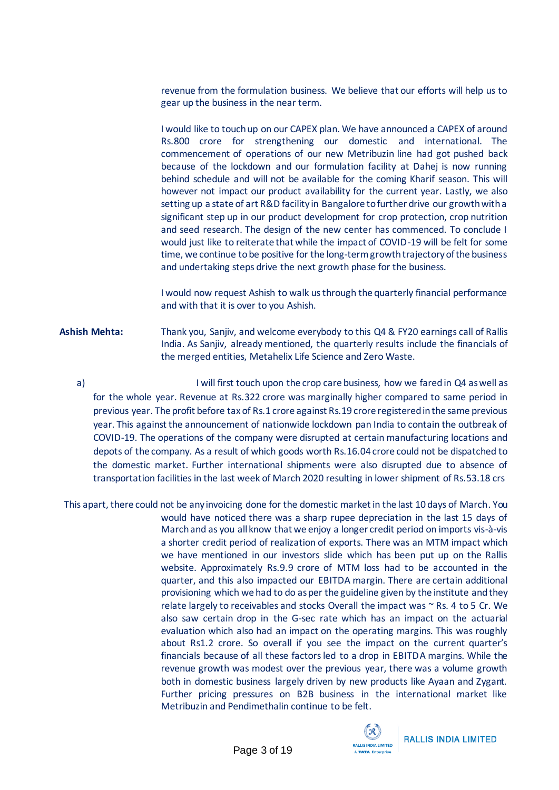revenue from the formulation business. We believe that our efforts will help us to gear up the business in the near term.

I would like to touch up on our CAPEX plan. We have announced a CAPEX of around Rs.800 crore for strengthening our domestic and international. The commencement of operations of our new Metribuzin line had got pushed back because of the lockdown and our formulation facility at Dahej is now running behind schedule and will not be available for the coming Kharif season. This will however not impact our product availability for the current year. Lastly, we also setting up a state of art R&D facility in Bangalore to further drive our growth with a significant step up in our product development for crop protection, crop nutrition and seed research. The design of the new center has commenced. To conclude I would just like to reiterate that while the impact of COVID-19 will be felt for some time, we continue to be positive for the long-termgrowth trajectory of the business and undertaking steps drive the next growth phase for the business.

I would now request Ashish to walk us through the quarterly financial performance and with that it is over to you Ashish.

- **Ashish Mehta:** Thank you, Sanjiv, and welcome everybody to this Q4 & FY20 earnings call of Rallis India. As Sanjiv, already mentioned, the quarterly results include the financials of the merged entities, Metahelix Life Science and Zero Waste.
	- a)I will first touch upon the crop care business, how we faredin Q4 as well as for the whole year. Revenue at Rs.322 crore was marginally higher compared to same period in previous year. The profit before tax of Rs.1 crore against Rs.19 crore registered in the same previous year. This against the announcement of nationwide lockdown pan India to contain the outbreak of COVID-19. The operations of the company were disrupted at certain manufacturing locations and depots of the company. As a result of which goods worth Rs.16.04 crore could not be dispatched to the domestic market. Further international shipments were also disrupted due to absence of transportation facilities in the last week of March 2020 resulting in lower shipment of Rs.53.18 crs
- This apart, there could not be any invoicing done for the domestic market in the last 10 days of March. You would have noticed there was a sharp rupee depreciation in the last 15 days of March and as you all know that we enjoy a longer credit period on imports vis-à-vis a shorter credit period of realization of exports. There was an MTM impact which we have mentioned in our investors slide which has been put up on the Rallis website. Approximately Rs.9.9 crore of MTM loss had to be accounted in the quarter, and this also impacted our EBITDA margin. There are certain additional provisioning which we had to do as per the guideline given by the institute and they relate largely to receivables and stocks Overall the impact was  $\sim$  Rs. 4 to 5 Cr. We also saw certain drop in the G-sec rate which has an impact on the actuarial evaluation which also had an impact on the operating margins. This was roughly about Rs1.2 crore. So overall if you see the impact on the current quarter's financials because of all these factors led to a drop in EBITDA margins. While the revenue growth was modest over the previous year, there was a volume growth both in domestic business largely driven by new products like Ayaan and Zygant. Further pricing pressures on B2B business in the international market like Metribuzin and Pendimethalin continue to be felt.

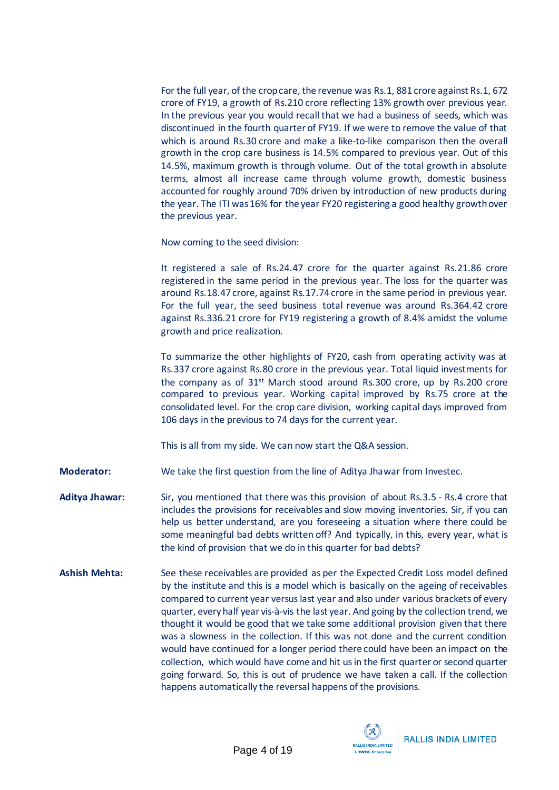For the full year, of the crop care, the revenue was Rs.1, 881 crore against Rs.1, 672 crore of FY19, a growth of Rs.210 crore reflecting 13% growth over previous year. In the previous year you would recall that we had a business of seeds, which was discontinued in the fourth quarter of FY19. If we were to remove the value of that which is around Rs.30 crore and make a like-to-like comparison then the overall growth in the crop care business is 14.5% compared to previous year. Out of this 14.5%, maximum growth is through volume. Out of the total growth in absolute terms, almost all increase came through volume growth, domestic business accounted for roughly around 70% driven by introduction of new products during the year. The ITI was 16% for the year FY20 registering a good healthy growth over the previous year.

Now coming to the seed division:

It registered a sale of Rs.24.47 crore for the quarter against Rs.21.86 crore registered in the same period in the previous year. The loss for the quarter was around Rs.18.47 crore, against Rs.17.74 crore in the same period in previous year. For the full year, the seed business total revenue was around Rs.364.42 crore against Rs.336.21 crore for FY19 registering a growth of 8.4% amidst the volume growth and price realization.

To summarize the other highlights of FY20, cash from operating activity was at Rs.337 crore against Rs.80 crore in the previous year. Total liquid investments for the company as of 31st March stood around Rs.300 crore, up by Rs.200 crore compared to previous year. Working capital improved by Rs.75 crore at the consolidated level. For the crop care division, working capital days improved from 106 days in the previous to 74 days for the current year.

This is all from my side. We can now start the Q&A session.

**Moderator:** We take the first question from the line of Aditya Jhawar from Investec.

**Aditya Jhawar:** Sir, you mentioned that there was this provision of about Rs.3.5 - Rs.4 crore that includes the provisions for receivables and slow moving inventories. Sir, if you can help us better understand, are you foreseeing a situation where there could be some meaningful bad debts written off? And typically, in this, every year, what is the kind of provision that we do in this quarter for bad debts?

**Ashish Mehta:** See these receivables are provided as per the Expected Credit Loss model defined by the institute and this is a model which is basically on the ageing of receivables compared to current year versus last year and also under various brackets of every quarter, every half year vis-à-vis the last year. And going by the collection trend, we thought it would be good that we take some additional provision given that there was a slowness in the collection. If this was not done and the current condition would have continued for a longer period there could have been an impact on the collection, which would have come and hit us in the first quarter or second quarter going forward. So, this is out of prudence we have taken a call. If the collection happens automatically the reversal happens of the provisions.

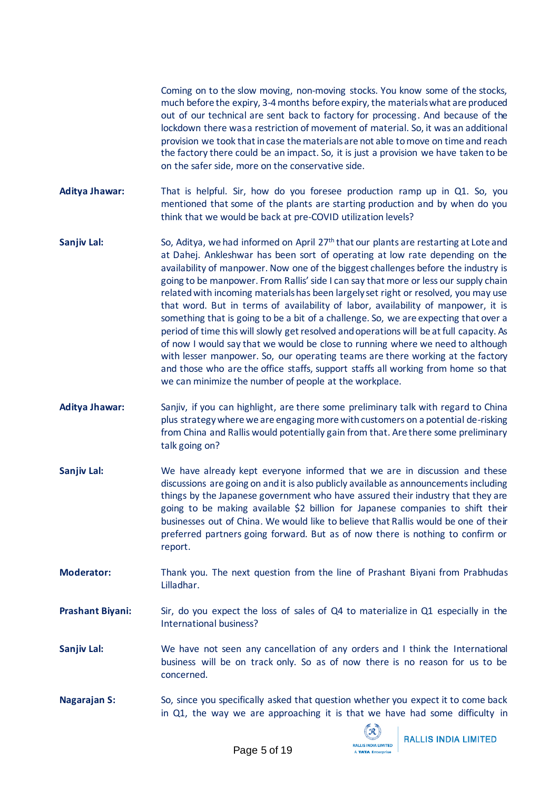Coming on to the slow moving, non-moving stocks. You know some of the stocks, much before the expiry, 3-4 months before expiry, the materials what are produced out of our technical are sent back to factory for processing. And because of the lockdown there was a restriction of movement of material. So, it was an additional provision we took that in case the materials are not able to move on time and reach the factory there could be an impact. So, it is just a provision we have taken to be on the safer side, more on the conservative side.

- **Aditya Jhawar:** That is helpful. Sir, how do you foresee production ramp up in Q1. So, you mentioned that some of the plants are starting production and by when do you think that we would be back at pre-COVID utilization levels?
- **Sanjiv Lal:** So, Aditya, we had informed on April 27<sup>th</sup> that our plants are restarting at Lote and at Dahej. Ankleshwar has been sort of operating at low rate depending on the availability of manpower. Now one of the biggest challenges before the industry is going to be manpower. From Rallis' side I can say that more or less our supply chain related with incoming materials has been largely set right or resolved, you may use that word. But in terms of availability of labor, availability of manpower, it is something that is going to be a bit of a challenge. So, we are expecting that over a period of time this will slowly get resolved and operations will be at full capacity. As of now I would say that we would be close to running where we need to although with lesser manpower. So, our operating teams are there working at the factory and those who are the office staffs, support staffs all working from home so that we can minimize the number of people at the workplace.
- **Aditya Jhawar:** Sanjiv, if you can highlight, are there some preliminary talk with regard to China plus strategywhere we are engaging more with customers on a potential de-risking from China and Rallis would potentially gain from that. Are there some preliminary talk going on?
- **Sanjiv Lal:** We have already kept everyone informed that we are in discussion and these discussions are going on and it is also publicly available as announcements including things by the Japanese government who have assured their industry that they are going to be making available \$2 billion for Japanese companies to shift their businesses out of China. We would like to believe that Rallis would be one of their preferred partners going forward. But as of now there is nothing to confirm or report.
- **Moderator:** Thank you. The next question from the line of Prashant Biyani from Prabhudas Lilladhar.
- **Prashant Biyani:** Sir, do you expect the loss of sales of Q4 to materialize in Q1 especially in the International business?
- **Sanjiv Lal:** We have not seen any cancellation of any orders and I think the International business will be on track only. So as of now there is no reason for us to be concerned.
- **Nagarajan S:** So, since you specifically asked that question whether you expect it to come back in Q1, the way we are approaching it is that we have had some difficulty in



**RALLIS INDIA LIMITED**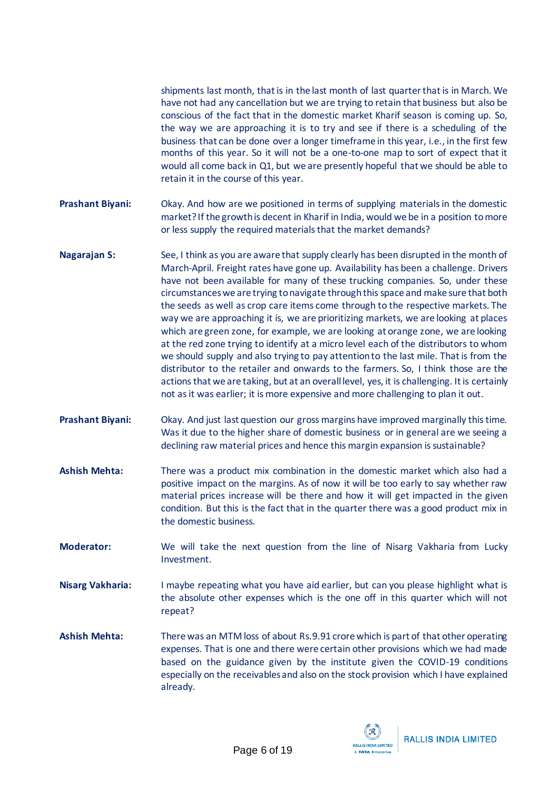shipments last month, that is in the last month of last quarter that is in March. We have not had any cancellation but we are trying to retain that business but also be conscious of the fact that in the domestic market Kharif season is coming up. So, the way we are approaching it is to try and see if there is a scheduling of the business that can be done over a longer timeframe in this year, i.e., in the first few months of this year. So it will not be a one-to-one map to sort of expect that it would all come back in Q1, but we are presently hopeful that we should be able to retain it in the course of this year.

- **Prashant Biyani:** Okay. And how are we positioned in terms of supplying materials in the domestic market? If the growth is decent in Kharif in India, would we be in a position to more or less supply the required materials that the market demands?
- **Nagarajan S:** See, I think as you are aware that supply clearly has been disrupted in the month of March-April. Freight rates have gone up. Availability has been a challenge. Drivers have not been available for many of these trucking companies. So, under these circumstanceswe are trying to navigate through this space and make sure that both the seeds as well as crop care items come through to the respective markets. The way we are approaching it is, we are prioritizing markets, we are looking at places which are green zone, for example, we are looking at orange zone, we are looking at the red zone trying to identify at a micro level each of the distributors to whom we should supply and also trying to pay attention to the last mile. That is from the distributor to the retailer and onwards to the farmers. So, I think those are the actions that we are taking, but at an overall level, yes, it is challenging. It is certainly not as it was earlier; it is more expensive and more challenging to plan it out.
- **Prashant Biyani:** Okay. And just last question our gross margins have improved marginally this time. Was it due to the higher share of domestic business or in general are we seeing a declining raw material prices and hence this margin expansion is sustainable?
- **Ashish Mehta:** There was a product mix combination in the domestic market which also had a positive impact on the margins. As of now it will be too early to say whether raw material prices increase will be there and how it will get impacted in the given condition. But this is the fact that in the quarter there was a good product mix in the domestic business.
- **Moderator:** We will take the next question from the line of Nisarg Vakharia from Lucky Investment.
- **Nisarg Vakharia:** I maybe repeating what you have aid earlier, but can you please highlight what is the absolute other expenses which is the one off in this quarter which will not repeat?
- **Ashish Mehta:** There was an MTM loss of about Rs.9.91 crore which is part of that other operating expenses. That is one and there were certain other provisions which we had made based on the guidance given by the institute given the COVID-19 conditions especially on the receivables and also on the stock provision which I have explained already.

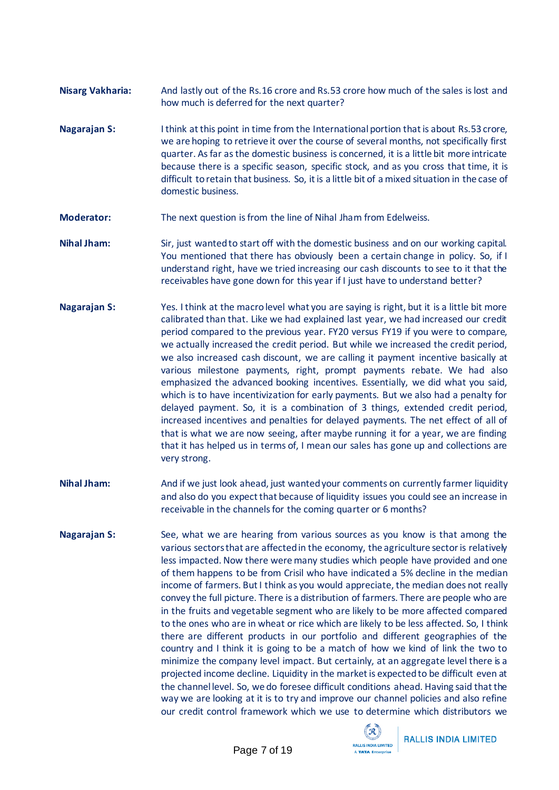- **Nisarg Vakharia:** And lastly out of the Rs.16 crore and Rs.53 crore how much of the sales is lost and how much is deferred for the next quarter?
- **Nagarajan S:** I think at this point in time from the International portion that is about Rs.53 crore, we are hoping to retrieve it over the course of several months, not specifically first quarter. As far as the domestic business is concerned, it is a little bit more intricate because there is a specific season, specific stock, and as you cross that time, it is difficult to retain that business. So, it is a little bit of a mixed situation in the case of domestic business.
- **Moderator:** The next question is from the line of Nihal Jham from Edelweiss.
- **Nihal Jham:** Sir, just wanted to start off with the domestic business and on our working capital. You mentioned that there has obviously been a certain change in policy. So, if I understand right, have we tried increasing our cash discounts to see to it that the receivables have gone down for this year if I just have to understand better?
- **Nagarajan S:** Yes. I think at the macro level what you are saying is right, but it is a little bit more calibrated than that. Like we had explained last year, we had increased our credit period compared to the previous year. FY20 versus FY19 if you were to compare, we actually increased the credit period. But while we increased the credit period, we also increased cash discount, we are calling it payment incentive basically at various milestone payments, right, prompt payments rebate. We had also emphasized the advanced booking incentives. Essentially, we did what you said, which is to have incentivization for early payments. But we also had a penalty for delayed payment. So, it is a combination of 3 things, extended credit period, increased incentives and penalties for delayed payments. The net effect of all of that is what we are now seeing, after maybe running it for a year, we are finding that it has helped us in terms of, I mean our sales has gone up and collections are very strong.
- **Nihal Jham:** And if we just look ahead, just wanted your comments on currently farmer liquidity and also do you expect that because of liquidity issues you could see an increase in receivable in the channels for the coming quarter or 6 months?
- **Nagarajan S:** See, what we are hearing from various sources as you know is that among the various sectors that are affected in the economy, the agriculture sector is relatively less impacted. Now there were many studies which people have provided and one of them happens to be from Crisil who have indicated a 5% decline in the median income of farmers. But I think as you would appreciate, the median does not really convey the full picture. There is a distribution of farmers. There are people who are in the fruits and vegetable segment who are likely to be more affected compared to the ones who are in wheat or rice which are likely to be less affected. So, I think there are different products in our portfolio and different geographies of the country and I think it is going to be a match of how we kind of link the two to minimize the company level impact. But certainly, at an aggregate level there is a projected income decline. Liquidity in the market is expected to be difficult even at the channel level. So, we do foresee difficult conditions ahead. Having said that the way we are looking at it is to try and improve our channel policies and also refine our credit control framework which we use to determine which distributors we

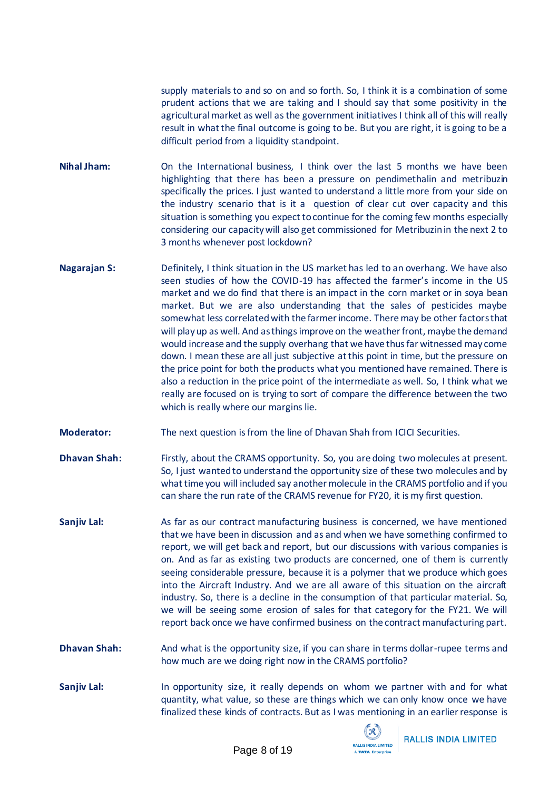supply materials to and so on and so forth. So, I think it is a combination of some prudent actions that we are taking and I should say that some positivity in the agricultural market as well as the government initiatives I think all of this will really result in what the final outcome is going to be. But you are right, it is going to be a difficult period from a liquidity standpoint.

- **Nihal Jham:** On the International business, I think over the last 5 months we have been highlighting that there has been a pressure on pendimethalin and metribuzin specifically the prices. I just wanted to understand a little more from your side on the industry scenario that is it a question of clear cut over capacity and this situation is something you expect to continue for the coming few months especially considering our capacity will also get commissioned for Metribuzin in the next 2 to 3 months whenever post lockdown?
- **Nagarajan S:** Definitely, I think situation in the US market has led to an overhang. We have also seen studies of how the COVID-19 has affected the farmer's income in the US market and we do find that there is an impact in the corn market or in soya bean market. But we are also understanding that the sales of pesticides maybe somewhat less correlated with the farmer income. There may be other factorsthat will play up as well. And as things improve on the weather front, maybe the demand would increase and the supply overhang that we have thus far witnessed may come down. I mean these are all just subjective at this point in time, but the pressure on the price point for both the products what you mentioned have remained. There is also a reduction in the price point of the intermediate as well. So, I think what we really are focused on is trying to sort of compare the difference between the two which is really where our margins lie.
- **Moderator:** The next question is from the line of Dhavan Shah from ICICI Securities.
- **Dhavan Shah:** Firstly, about the CRAMS opportunity. So, you are doing two molecules at present. So, I just wanted to understand the opportunity size of these two molecules and by what time you will included say another molecule in the CRAMS portfolio and if you can share the run rate of the CRAMS revenue for FY20, it is my first question.
- **Sanjiv Lal:** As far as our contract manufacturing business is concerned, we have mentioned that we have been in discussion and as and when we have something confirmed to report, we will get back and report, but our discussions with various companies is on. And as far as existing two products are concerned, one of them is currently seeing considerable pressure, because it is a polymer that we produce which goes into the Aircraft Industry. And we are all aware of this situation on the aircraft industry. So, there is a decline in the consumption of that particular material. So, we will be seeing some erosion of sales for that category for the FY21. We will report back once we have confirmed business on the contract manufacturing part.
- **Dhavan Shah:** And what is the opportunity size, if you can share in terms dollar-rupee terms and how much are we doing right now in the CRAMS portfolio?
- **Sanjiv Lal:** In opportunity size, it really depends on whom we partner with and for what quantity, what value, so these are things which we can only know once we have finalized these kinds of contracts. But as I was mentioning in an earlier response is

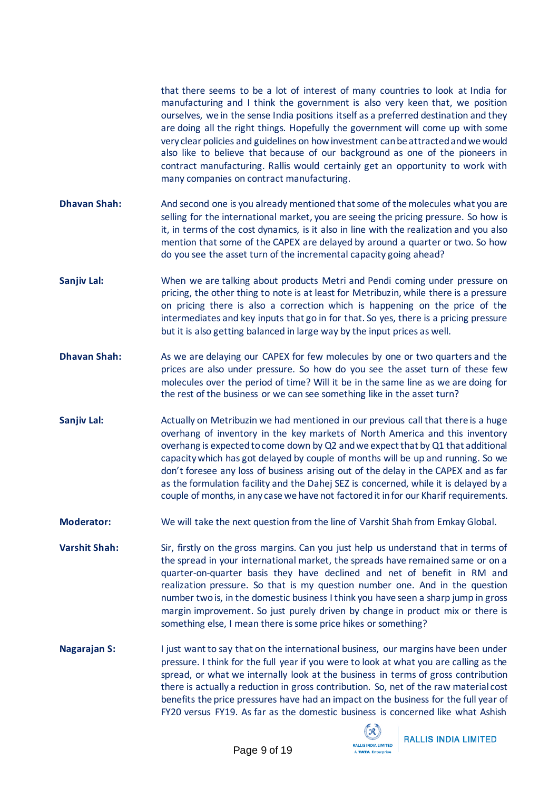that there seems to be a lot of interest of many countries to look at India for manufacturing and I think the government is also very keen that, we position ourselves, we in the sense India positions itself as a preferred destination and they are doing all the right things. Hopefully the government will come up with some very clear policies and guidelines on how investment can be attracted and we would also like to believe that because of our background as one of the pioneers in contract manufacturing. Rallis would certainly get an opportunity to work with many companies on contract manufacturing.

- **Dhavan Shah:** And second one is you already mentioned that some of the molecules what you are selling for the international market, you are seeing the pricing pressure. So how is it, in terms of the cost dynamics, is it also in line with the realization and you also mention that some of the CAPEX are delayed by around a quarter or two. So how do you see the asset turn of the incremental capacity going ahead?
- **Sanjiv Lal:** When we are talking about products Metri and Pendi coming under pressure on pricing, the other thing to note is at least for Metribuzin, while there is a pressure on pricing there is also a correction which is happening on the price of the intermediates and key inputs that go in for that. So yes, there is a pricing pressure but it is also getting balanced in large way by the input prices as well.
- **Dhavan Shah:** As we are delaying our CAPEX for few molecules by one or two quarters and the prices are also under pressure. So how do you see the asset turn of these few molecules over the period of time? Will it be in the same line as we are doing for the rest of the business or we can see something like in the asset turn?
- **Sanjiv Lal:** Actually on Metribuzin we had mentioned in our previous call that there is a huge overhang of inventory in the key markets of North America and this inventory overhang is expected to come down by Q2 and we expect that by Q1 that additional capacity which has got delayed by couple of months will be up and running. So we don't foresee any loss of business arising out of the delay in the CAPEX and as far as the formulation facility and the Dahej SEZ is concerned, while it is delayed by a couple of months, in any case we have not factored it in for our Kharif requirements.
- **Moderator:** We will take the next question from the line of Varshit Shah from Emkay Global.
- **Varshit Shah:** Sir, firstly on the gross margins. Can you just help us understand that in terms of the spread in your international market, the spreads have remained same or on a quarter-on-quarter basis they have declined and net of benefit in RM and realization pressure. So that is my question number one. And in the question number two is, in the domestic business I think you have seen a sharp jump in gross margin improvement. So just purely driven by change in product mix or there is something else, I mean there is some price hikes or something?
- **Nagarajan S:** I just want to say that on the international business, our margins have been under pressure. I think for the full year if you were to look at what you are calling as the spread, or what we internally look at the business in terms of gross contribution there is actually a reduction in gross contribution. So, net of the raw material cost benefits the price pressures have had an impact on the business for the full year of FY20 versus FY19. As far as the domestic business is concerned like what Ashish

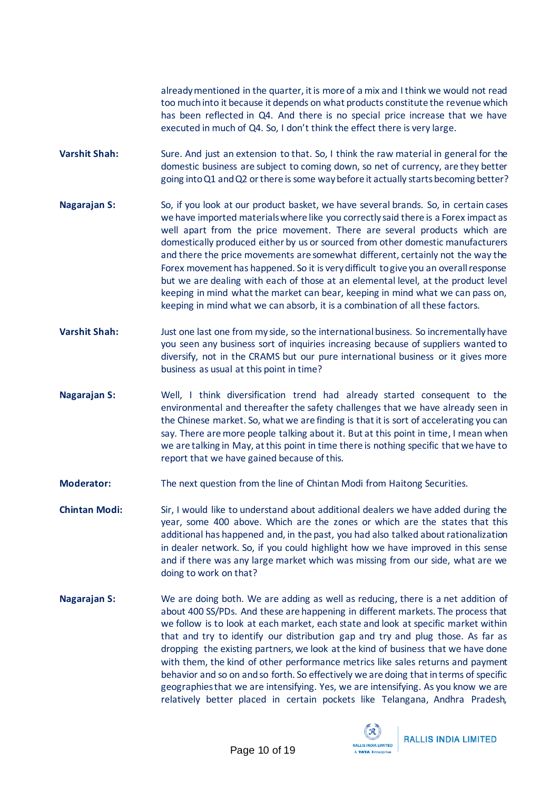already mentioned in the quarter, it is more of a mix and I think we would not read too much into it because it depends on what products constitute the revenue which has been reflected in Q4. And there is no special price increase that we have executed in much of Q4. So, I don't think the effect there is very large.

- Varshit Shah: Sure. And just an extension to that. So, I think the raw material in general for the domestic business are subject to coming down, so net of currency, are they better going into Q1 and Q2 or there is some way before it actually startsbecoming better?
- **Nagarajan S:** So, if you look at our product basket, we have several brands. So, in certain cases we have imported materials where like you correctly said there is a Forex impact as well apart from the price movement. There are several products which are domestically produced either by us or sourced from other domestic manufacturers and there the price movements are somewhat different, certainly not the way the Forex movement has happened. So it is very difficult to give you an overall response but we are dealing with each of those at an elemental level, at the product level keeping in mind what the market can bear, keeping in mind what we can pass on, keeping in mind what we can absorb, it is a combination of all these factors.
- **Varshit Shah:** Just one last one from my side, so the international business. So incrementally have you seen any business sort of inquiries increasing because of suppliers wanted to diversify, not in the CRAMS but our pure international business or it gives more business as usual at this point in time?
- **Nagarajan S:** Well, I think diversification trend had already started consequent to the environmental and thereafter the safety challenges that we have already seen in the Chinese market. So, what we are finding is that it is sort of accelerating you can say. There are more people talking about it. But at this point in time, I mean when we are talking in May, at this point in time there is nothing specific that we have to report that we have gained because of this.
- **Moderator:** The next question from the line of Chintan Modi from Haitong Securities.
- **Chintan Modi:** Sir, I would like to understand about additional dealers we have added during the year, some 400 above. Which are the zones or which are the states that this additional has happened and, in the past, you had also talked about rationalization in dealer network. So, if you could highlight how we have improved in this sense and if there was any large market which was missing from our side, what are we doing to work on that?
- **Nagarajan S:** We are doing both. We are adding as well as reducing, there is a net addition of about 400 SS/PDs. And these are happening in different markets. The process that we follow is to look at each market, each state and look at specific market within that and try to identify our distribution gap and try and plug those. As far as dropping the existing partners, we look at the kind of business that we have done with them, the kind of other performance metrics like sales returns and payment behavior and so on and so forth. So effectively we are doing that in terms of specific geographies that we are intensifying. Yes, we are intensifying. As you know we are relatively better placed in certain pockets like Telangana, Andhra Pradesh,

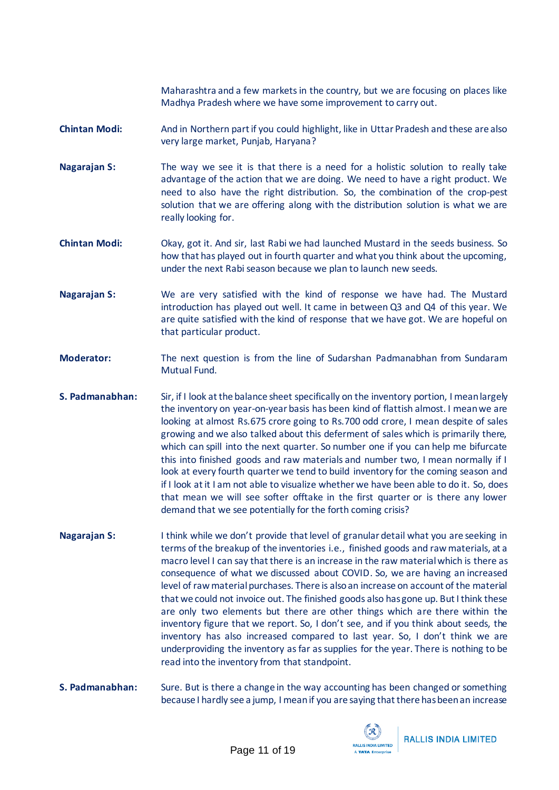Maharashtra and a few markets in the country, but we are focusing on places like Madhya Pradesh where we have some improvement to carry out.

- **Chintan Modi:** And in Northern part if you could highlight, like in Uttar Pradesh and these are also very large market, Punjab, Haryana?
- **Nagarajan S:** The way we see it is that there is a need for a holistic solution to really take advantage of the action that we are doing. We need to have a right product. We need to also have the right distribution. So, the combination of the crop-pest solution that we are offering along with the distribution solution is what we are really looking for.
- **Chintan Modi:** Okay, got it. And sir, last Rabi we had launched Mustard in the seeds business. So how that has played out in fourth quarter and what you think about the upcoming, under the next Rabi season because we plan to launch new seeds.
- **Nagarajan S:** We are very satisfied with the kind of response we have had. The Mustard introduction has played out well. It came in between Q3 and Q4 of this year. We are quite satisfied with the kind of response that we have got. We are hopeful on that particular product.
- **Moderator:** The next question is from the line of Sudarshan Padmanabhan from Sundaram Mutual Fund.
- **S. Padmanabhan:** Sir, if I look at the balance sheet specifically on the inventory portion, I mean largely the inventory on year-on-year basis has been kind of flattish almost. I mean we are looking at almost Rs.675 crore going to Rs.700 odd crore, I mean despite of sales growing and we also talked about this deferment of sales which is primarily there, which can spill into the next quarter. So number one if you can help me bifurcate this into finished goods and raw materials and number two, I mean normally if I look at every fourth quarter we tend to build inventory for the coming season and if I look at it I am not able to visualize whether we have been able to do it. So, does that mean we will see softer offtake in the first quarter or is there any lower demand that we see potentially for the forth coming crisis?
- **Nagarajan S:** I think while we don't provide that level of granular detail what you are seeking in terms of the breakup of the inventories i.e., finished goods and raw materials, at a macro level I can say that there is an increase in the raw material which is there as consequence of what we discussed about COVID. So, we are having an increased level of raw material purchases. There is also an increase on account of the material that we could not invoice out. The finished goods also has gone up. But I think these are only two elements but there are other things which are there within the inventory figure that we report. So, I don't see, and if you think about seeds, the inventory has also increased compared to last year. So, I don't think we are underproviding the inventory as far as supplies for the year. There is nothing to be read into the inventory from that standpoint.
- **S. Padmanabhan:** Sure. But is there a change in the way accounting has been changed or something because I hardly see a jump, I mean if you are saying that there has been an increase

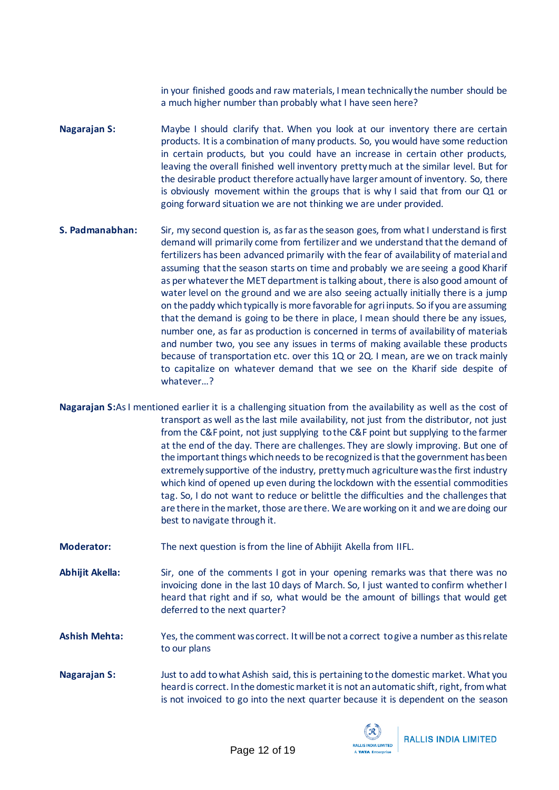in your finished goods and raw materials, I mean technically the number should be a much higher number than probably what I have seen here?

- **Nagarajan S:** Maybe I should clarify that. When you look at our inventory there are certain products. It is a combination of many products. So, you would have some reduction in certain products, but you could have an increase in certain other products, leaving the overall finished well inventory pretty much at the similar level. But for the desirable product therefore actually have larger amount of inventory. So, there is obviously movement within the groups that is why I said that from our Q1 or going forward situation we are not thinking we are under provided.
- **S. Padmanabhan:** Sir, my second question is, as far as the season goes, from what I understand is first demand will primarily come from fertilizer and we understand that the demand of fertilizers has been advanced primarily with the fear of availability of material and assuming that the season starts on time and probably we are seeing a good Kharif as per whatever the MET department is talking about, there is also good amount of water level on the ground and we are also seeing actually initially there is a jump on the paddy which typically is more favorable for agri inputs. So if you are assuming that the demand is going to be there in place, I mean should there be any issues, number one, as far as production is concerned in terms of availability of materials and number two, you see any issues in terms of making available these products because of transportation etc. over this 1Q or 2Q. I mean, are we on track mainly to capitalize on whatever demand that we see on the Kharif side despite of whatever…?
- **Nagarajan S:**As I mentioned earlier it is a challenging situation from the availability as well as the cost of transport as well as the last mile availability, not just from the distributor, not just from the C&F point, not just supplying to the C&F point but supplying to the farmer at the end of the day. There are challenges. They are slowly improving. But one of the important things which needs to be recognized is that the government has been extremely supportive of the industry, pretty much agriculture was the first industry which kind of opened up even during the lockdown with the essential commodities tag. So, I do not want to reduce or belittle the difficulties and the challenges that are there in the market, those are there. We are working on it and we are doing our best to navigate through it.
- **Moderator:** The next question is from the line of Abhijit Akella from IIFL.
- **Abhijit Akella:** Sir, one of the comments I got in your opening remarks was that there was no invoicing done in the last 10 days of March. So, I just wanted to confirm whether I heard that right and if so, what would be the amount of billings that would get deferred to the next quarter?
- **Ashish Mehta:** Yes, the comment was correct. It will be not a correct to give a number as this relate to our plans
- **Nagarajan S:** Just to add to what Ashish said, this is pertaining to the domestic market. What you heard is correct. In the domestic market it is not an automatic shift, right, from what is not invoiced to go into the next quarter because it is dependent on the season

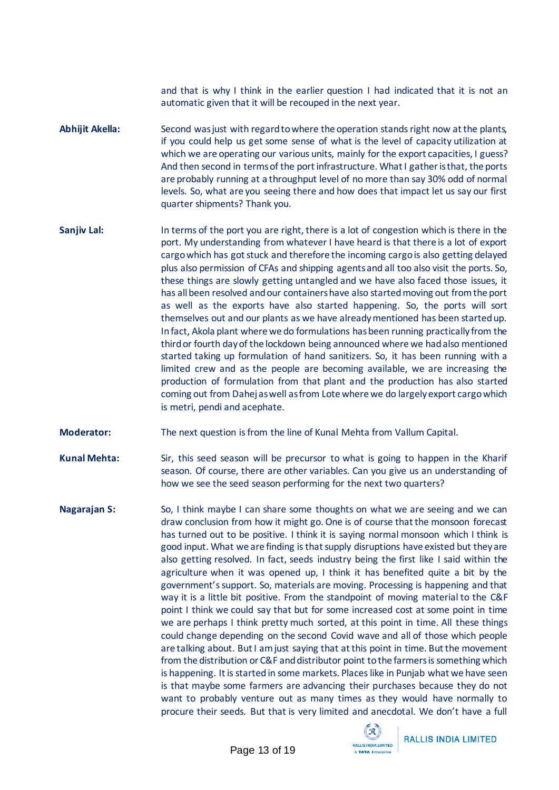and that is why I think in the earlier question I had indicated that it is not an automatic given that it will be recouped in the next year.

- **Abhijit Akella:** Second was just with regard to where the operation standsright now at the plants, if you could help us get some sense of what is the level of capacity utilization at which we are operating our various units, mainly for the export capacities, I guess? And then second in terms of the port infrastructure. What I gather is that, the ports are probably running at a throughput level of no more than say 30% odd of normal levels. So, what are you seeing there and how does that impact let us say our first quarter shipments? Thank you.
- **Sanjiv Lal:** In terms of the port you are right, there is a lot of congestion which is there in the port. My understanding from whatever I have heard is that there is a lot of export cargo which has got stuck and therefore the incoming cargo is also getting delayed plus also permission of CFAs and shipping agents and all too also visit the ports. So, these things are slowly getting untangled and we have also faced those issues, it has all been resolved and our containers have also started moving out from the port as well as the exports have also started happening. So, the ports will sort themselves out and our plants as we have already mentioned has been started up. In fact, Akola plant where we do formulations has been running practically from the third or fourth day of the lockdown being announced where we had also mentioned started taking up formulation of hand sanitizers. So, it has been running with a limited crew and as the people are becoming available, we are increasing the production of formulation from that plant and the production has also started coming out from Dahej as well as from Lote where we do largely export cargo which is metri, pendi and acephate.
- **Moderator:** The next question is from the line of Kunal Mehta from Vallum Capital.

**Kunal Mehta:** Sir, this seed season will be precursor to what is going to happen in the Kharif season. Of course, there are other variables. Can you give us an understanding of how we see the seed season performing for the next two quarters?

**Nagarajan S:** So, I think maybe I can share some thoughts on what we are seeing and we can draw conclusion from how it might go. One is of course that the monsoon forecast has turned out to be positive. I think it is saying normal monsoon which I think is good input. What we are finding is that supply disruptions have existed but they are also getting resolved. In fact, seeds industry being the first like I said within the agriculture when it was opened up, I think it has benefited quite a bit by the government's support. So, materials are moving. Processing is happening and that way it is a little bit positive. From the standpoint of moving material to the C&F point I think we could say that but for some increased cost at some point in time we are perhaps I think pretty much sorted, at this point in time. All these things could change depending on the second Covid wave and all of those which people are talking about. But I am just saying that at this point in time. But the movement from the distribution or C&F and distributor point to the farmers is something which is happening. It is started in some markets. Places like in Punjab what we have seen is that maybe some farmers are advancing their purchases because they do not want to probably venture out as many times as they would have normally to procure their seeds. But that is very limited and anecdotal. We don't have a full



**RALLIS INDIA LIMITED**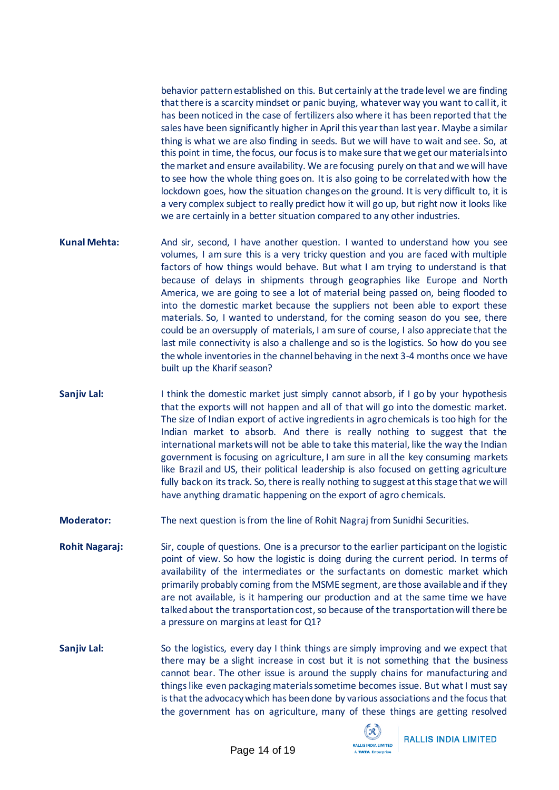behavior pattern established on this. But certainly at the trade level we are finding that there is a scarcity mindset or panic buying, whatever way you want to call it, it has been noticed in the case of fertilizers also where it has been reported that the sales have been significantly higher in April this year than last year. Maybe a similar thing is what we are also finding in seeds. But we will have to wait and see. So, at this point in time, the focus, our focus is to make sure that we get our materials into the market and ensure availability. We are focusing purely on that and we will have to see how the whole thing goes on. It is also going to be correlated with how the lockdown goes, how the situation changes on the ground. It is very difficult to, it is a very complex subject to really predict how it will go up, but right now it looks like we are certainly in a better situation compared to any other industries.

- **Kunal Mehta:** And sir, second, I have another question. I wanted to understand how you see volumes, I am sure this is a very tricky question and you are faced with multiple factors of how things would behave. But what I am trying to understand is that because of delays in shipments through geographies like Europe and North America, we are going to see a lot of material being passed on, being flooded to into the domestic market because the suppliers not been able to export these materials. So, I wanted to understand, for the coming season do you see, there could be an oversupply of materials, I am sure of course, I also appreciate that the last mile connectivity is also a challenge and so is the logistics. So how do you see the whole inventories in the channel behaving in the next 3-4 months once we have built up the Kharif season?
- **Sanjiv Lal:** I think the domestic market just simply cannot absorb, if I go by your hypothesis that the exports will not happen and all of that will go into the domestic market. The size of Indian export of active ingredients in agro chemicals is too high for the Indian market to absorb. And there is really nothing to suggest that the international markets will not be able to take this material, like the way the Indian government is focusing on agriculture, I am sure in all the key consuming markets like Brazil and US, their political leadership is also focused on getting agriculture fully back on its track. So, there is really nothing to suggest at this stage that we will have anything dramatic happening on the export of agro chemicals.
- **Moderator:** The next question is from the line of Rohit Nagraj from Sunidhi Securities.
- **Rohit Nagaraj:** Sir, couple of questions. One is a precursor to the earlier participant on the logistic point of view. So how the logistic is doing during the current period. In terms of availability of the intermediates or the surfactants on domestic market which primarily probably coming from the MSME segment, are those available and if they are not available, is it hampering our production and at the same time we have talked about the transportation cost, so because of the transportation will there be a pressure on margins at least for Q1?
- **Sanjiv Lal:** So the logistics, every day I think things are simply improving and we expect that there may be a slight increase in cost but it is not something that the business cannot bear. The other issue is around the supply chains for manufacturing and things like even packaging materials sometime becomes issue. But what I must say isthat the advocacy which has been done by various associations and the focus that the government has on agriculture, many of these things are getting resolved

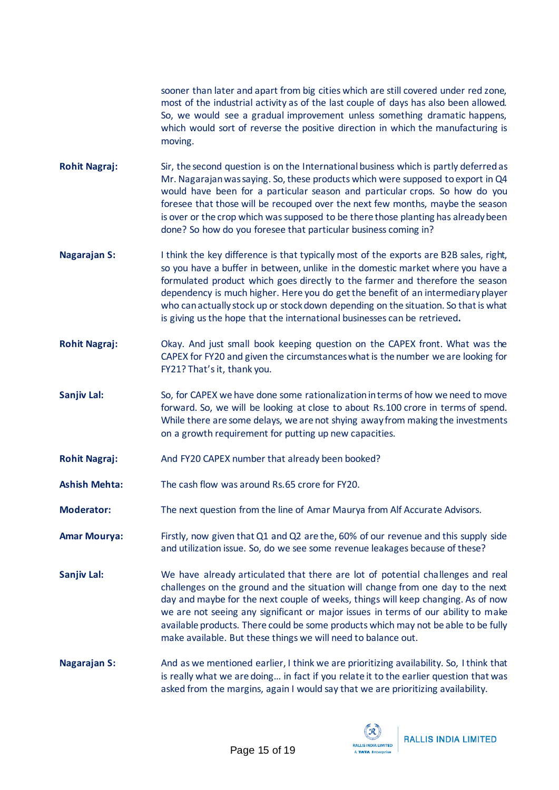sooner than later and apart from big cities which are still covered under red zone, most of the industrial activity as of the last couple of days has also been allowed. So, we would see a gradual improvement unless something dramatic happens, which would sort of reverse the positive direction in which the manufacturing is moving.

- **Rohit Nagraj:** Sir, the second question is on the International business which is partly deferred as Mr. Nagarajan was saying. So, these products which were supposed to export in Q4 would have been for a particular season and particular crops. So how do you foresee that those will be recouped over the next few months, maybe the season is over or the crop which was supposed to be there those planting has already been done? So how do you foresee that particular business coming in?
- **Nagarajan S:** I think the key difference is that typically most of the exports are B2B sales, right, so you have a buffer in between, unlike in the domestic market where you have a formulated product which goes directly to the farmer and therefore the season dependency is much higher. Here you do get the benefit of an intermediaryplayer who can actually stock up or stock down depending on the situation. So that is what is giving us the hope that the international businesses can be retrieved**.**
- **Rohit Nagraj:** Okay. And just small book keeping question on the CAPEX front. What was the CAPEX for FY20 and given the circumstances what is the number we are looking for FY21? That's it, thank you.
- Sanjiv Lal: So, for CAPEX we have done some rationalization in terms of how we need to move forward. So, we will be looking at close to about Rs.100 crore in terms of spend. While there are some delays, we are not shying away from making the investments on a growth requirement for putting up new capacities.
- **Rohit Nagraj:** And FY20 CAPEX number that already been booked?
- **Ashish Mehta:** The cash flow was around Rs.65 crore for FY20.
- **Moderator:** The next question from the line of Amar Maurya from Alf Accurate Advisors.
- **Amar Mourya:** Firstly, now given that Q1 and Q2 are the, 60% of our revenue and this supply side and utilization issue. So, do we see some revenue leakages because of these?
- **Sanjiv Lal:** We have already articulated that there are lot of potential challenges and real challenges on the ground and the situation will change from one day to the next day and maybe for the next couple of weeks, things will keep changing. As of now we are not seeing any significant or major issues in terms of our ability to make available products. There could be some products which may not be able to be fully make available. But these things we will need to balance out.
- **Nagarajan S:** And as we mentioned earlier, I think we are prioritizing availability. So, I think that is really what we are doing… in fact if you relate it to the earlier question that was asked from the margins, again I would say that we are prioritizing availability.

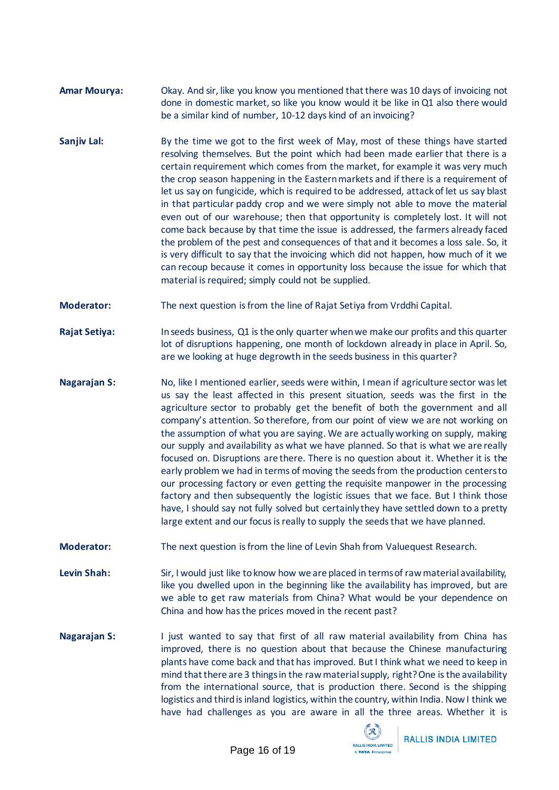- **Amar Mourya:** Okay. And sir, like you know you mentioned that there was 10 days of invoicing not done in domestic market, so like you know would it be like in Q1 also there would be a similar kind of number, 10-12 days kind of an invoicing?
- **Sanjiv Lal:** By the time we got to the first week of May, most of these things have started resolving themselves. But the point which had been made earlier that there is a certain requirement which comes from the market, for example it was very much the crop season happening in the Eastern markets and if there is a requirement of let us say on fungicide, which is required to be addressed, attack of let us say blast in that particular paddy crop and we were simply not able to move the material even out of our warehouse; then that opportunity is completely lost. It will not come back because by that time the issue is addressed, the farmers already faced the problem of the pest and consequences of that and it becomes a loss sale. So, it is very difficult to say that the invoicing which did not happen, how much of it we can recoup because it comes in opportunity loss because the issue for which that material is required; simply could not be supplied.
- **Moderator:** The next question is from the line of Rajat Setiya from Vrddhi Capital.
- **Rajat Setiya:** In seeds business, Q1 is the only quarter when we make our profits and this quarter lot of disruptions happening, one month of lockdown already in place in April. So, are we looking at huge degrowth in the seeds business in this quarter?
- **Nagarajan S:** No, like I mentioned earlier, seeds were within, I mean if agriculture sector was let us say the least affected in this present situation, seeds was the first in the agriculture sector to probably get the benefit of both the government and all company's attention. So therefore, from our point of view we are not working on the assumption of what you are saying. We are actually working on supply, making our supply and availability as what we have planned. So that is what we are really focused on. Disruptions are there. There is no question about it. Whether it is the early problem we had in terms of moving the seeds from the production centers to our processing factory or even getting the requisite manpower in the processing factory and then subsequently the logistic issues that we face. But I think those have, I should say not fully solved but certainly they have settled down to a pretty large extent and our focus is really to supply the seeds that we have planned.
- **Moderator:** The next question is from the line of Levin Shah from Valuequest Research.
- Levin Shah: Sir, I would just like to know how we are placed in terms of raw material availability, like you dwelled upon in the beginning like the availability has improved, but are we able to get raw materials from China? What would be your dependence on China and how has the prices moved in the recent past?
- **Nagarajan S:** I just wanted to say that first of all raw material availability from China has improved, there is no question about that because the Chinese manufacturing plants have come back and that has improved. But I think what we need to keep in mind that there are 3 things in the raw material supply, right? One is the availability from the international source, that is production there. Second is the shipping logistics and third is inland logistics, within the country, within India. Now I think we have had challenges as you are aware in all the three areas. Whether it is

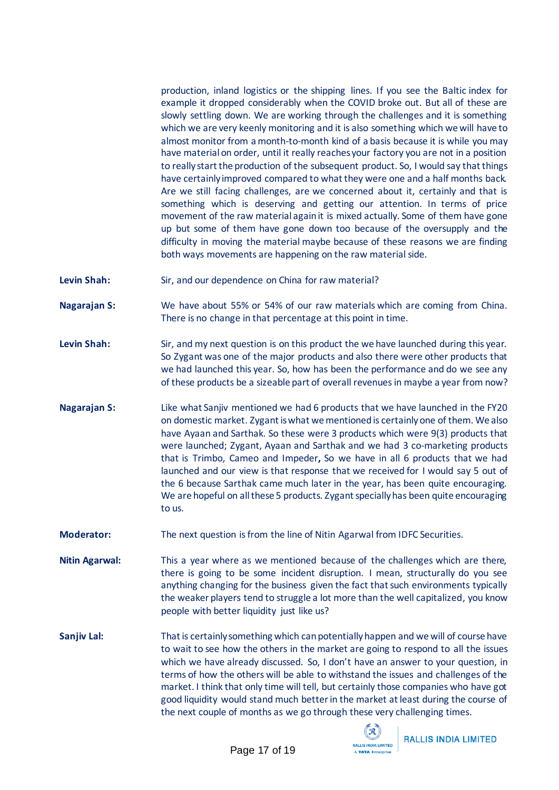production, inland logistics or the shipping lines. If you see the Baltic index for example it dropped considerably when the COVID broke out. But all of these are slowly settling down. We are working through the challenges and it is something which we are very keenly monitoring and it is also something which we will have to almost monitor from a month-to-month kind of a basis because it is while you may have material on order, until it really reaches your factory you are not in a position to really start the production of the subsequent product. So, I would say that things have certainly improved compared to what they were one and a half months back. Are we still facing challenges, are we concerned about it, certainly and that is something which is deserving and getting our attention. In terms of price movement of the raw material again it is mixed actually. Some of them have gone up but some of them have gone down too because of the oversupply and the difficulty in moving the material maybe because of these reasons we are finding both ways movements are happening on the raw material side.

- Levin Shah: Sir, and our dependence on China for raw material?
- **Nagarajan S:** We have about 55% or 54% of our raw materials which are coming from China. There is no change in that percentage at this point in time.
- Levin Shah: Sir, and my next question is on this product the we have launched during this year. So Zygant was one of the major products and also there were other products that we had launched this year. So, how has been the performance and do we see any of these products be a sizeable part of overall revenues in maybe a year from now?
- **Nagarajan S:** Like what Sanjiv mentioned we had 6 products that we have launched in the FY20 on domestic market. Zygant is what we mentioned is certainly one of them. We also have Ayaan and Sarthak. So these were 3 products which were 9(3) products that were launched; Zygant, Ayaan and Sarthak and we had 3 co-marketing products that is Trimbo, Cameo and Impeder**,** So we have in all 6 products that we had launched and our view is that response that we received for I would say 5 out of the 6 because Sarthak came much later in the year, has been quite encouraging. We are hopeful on all these 5 products. Zygant specially has been quite encouraging to us.
- **Moderator:** The next question is from the line of Nitin Agarwal from IDFC Securities.
- **Nitin Agarwal:** This a year where as we mentioned because of the challenges which are there, there is going to be some incident disruption. I mean, structurally do you see anything changing for the business given the fact that such environments typically the weaker players tend to struggle a lot more than the well capitalized, you know people with better liquidity just like us?
- **Sanjiv Lal:** That is certainly something which can potentially happen and we will of course have to wait to see how the others in the market are going to respond to all the issues which we have already discussed. So, I don't have an answer to your question, in terms of how the others will be able to withstand the issues and challenges of the market. I think that only time will tell, but certainly those companies who have got good liquidity would stand much better in the market at least during the course of the next couple of months as we go through these very challenging times.

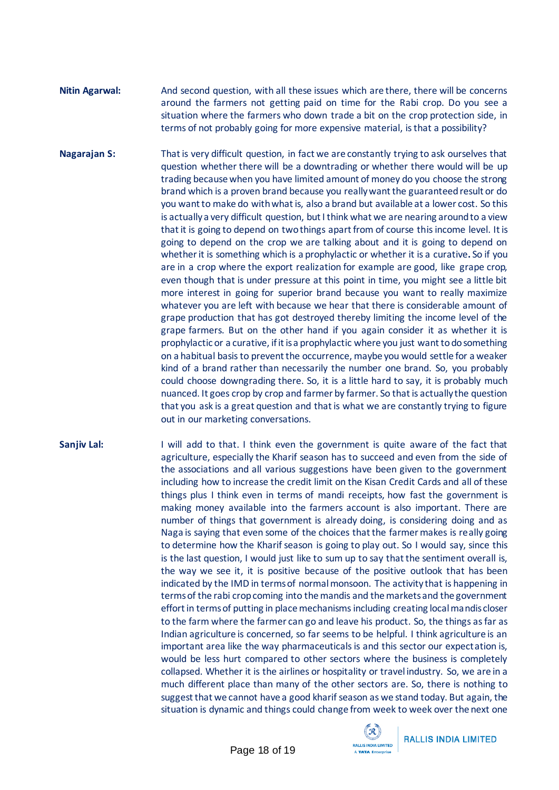## **Nitin Agarwal:** And second question, with all these issues which are there, there will be concerns around the farmers not getting paid on time for the Rabi crop. Do you see a situation where the farmers who down trade a bit on the crop protection side, in terms of not probably going for more expensive material, is that a possibility?

**Nagarajan S:** That is very difficult question, in fact we are constantly trying to ask ourselves that question whether there will be a downtrading or whether there would will be up trading because when you have limited amount of money do you choose the strong brand which is a proven brand because you really want the guaranteed result or do you want to make do with what is, also a brand but available at a lower cost. So this is actually a very difficult question, but I think what we are nearing around to a view that it is going to depend on two things apart from of course thisincome level. It is going to depend on the crop we are talking about and it is going to depend on whether it is something which is a prophylactic or whether it is a curative**.** So if you are in a crop where the export realization for example are good, like grape crop, even though that is under pressure at this point in time, you might see a little bit more interest in going for superior brand because you want to really maximize whatever you are left with because we hear that there is considerable amount of grape production that has got destroyed thereby limiting the income level of the grape farmers. But on the other hand if you again consider it as whether it is prophylactic or a curative, if it is a prophylactic where you just want to do something on a habitual basis to prevent the occurrence, maybe you would settle for a weaker kind of a brand rather than necessarily the number one brand. So, you probably could choose downgrading there. So, it is a little hard to say, it is probably much nuanced. It goes crop by crop and farmer by farmer. So that is actually the question that you ask is a great question and that is what we are constantly trying to figure out in our marketing conversations.

**Sanjiv Lal:** I will add to that. I think even the government is quite aware of the fact that agriculture, especially the Kharif season has to succeed and even from the side of the associations and all various suggestions have been given to the government including how to increase the credit limit on the Kisan Credit Cards and all of these things plus I think even in terms of mandi receipts, how fast the government is making money available into the farmers account is also important. There are number of things that government is already doing, is considering doing and as Naga is saying that even some of the choices that the farmer makes is really going to determine how the Kharif season is going to play out. So I would say, since this is the last question, I would just like to sum up to say that the sentiment overall is, the way we see it, it is positive because of the positive outlook that has been indicated by the IMD in terms of normal monsoon. The activity that is happening in terms of the rabi crop coming into the mandis and the markets and the government effort in terms of putting in place mechanisms including creating local mandis closer to the farm where the farmer can go and leave his product. So, the things as far as Indian agriculture is concerned, so far seems to be helpful. I think agriculture is an important area like the way pharmaceuticals is and this sector our expectation is, would be less hurt compared to other sectors where the business is completely collapsed. Whether it is the airlines or hospitality or travel industry. So, we are in a much different place than many of the other sectors are. So, there is nothing to suggest that we cannot have a good kharif season as we stand today. But again, the situation is dynamic and things could change from week to week over the next one